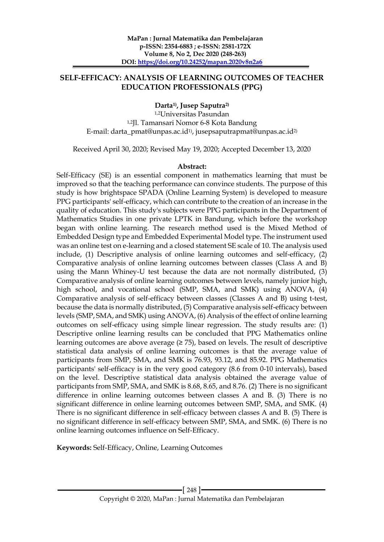## **SELF-EFFICACY: ANALYSIS OF LEARNING OUTCOMES OF TEACHER EDUCATION PROFESSIONALS (PPG)**

**Darta1) , Jusep Saputra2)**

1,2Universitas Pasundan 1,2Jl. Tamansari Nomor 6-8 Kota Bandung E-mail: darta\_pmat@unpas.ac.id1) , jusepsaputrapmat@unpas.ac.id2)

Received April 30, 2020; Revised May 19, 2020; Accepted December 13, 2020

#### **Abstract:**

Self-Efficacy (SE) is an essential component in mathematics learning that must be improved so that the teaching performance can convince students. The purpose of this study is how brightspace SPADA (Online Learning System) is developed to measure PPG participants' self-efficacy, which can contribute to the creation of an increase in the quality of education. This study's subjects were PPG participants in the Department of Mathematics Studies in one private LPTK in Bandung, which before the workshop began with online learning. The research method used is the Mixed Method of Embedded Design type and Embedded Experimental Model type. The instrument used was an online test on e-learning and a closed statement SE scale of 10. The analysis used include, (1) Descriptive analysis of online learning outcomes and self-efficacy, (2) Comparative analysis of online learning outcomes between classes (Class A and B) using the Mann Whiney-U test because the data are not normally distributed, (3) Comparative analysis of online learning outcomes between levels, namely junior high, high school, and vocational school (SMP, SMA, and SMK) using ANOVA, (4) Comparative analysis of self-efficacy between classes (Classes A and B) using t-test, because the data is normally distributed, (5) Comparative analysis self-efficacy between levels (SMP, SMA, and SMK) using ANOVA, (6) Analysis of the effect of online learning outcomes on self-efficacy using simple linear regression. The study results are: (1) Descriptive online learning results can be concluded that PPG Mathematics online learning outcomes are above average  $(\geq 75)$ , based on levels. The result of descriptive statistical data analysis of online learning outcomes is that the average value of participants from SMP, SMA, and SMK is 76.93, 93.12, and 85.92. PPG Mathematics participants' self-efficacy is in the very good category (8.6 from 0-10 intervals), based on the level. Descriptive statistical data analysis obtained the average value of participants from SMP, SMA, and SMK is 8.68, 8.65, and 8.76. (2) There is no significant difference in online learning outcomes between classes A and B. (3) There is no significant difference in online learning outcomes between SMP, SMA, and SMK. (4) There is no significant difference in self-efficacy between classes A and B. (5) There is no significant difference in self-efficacy between SMP, SMA, and SMK. (6) There is no online learning outcomes influence on Self-Efficacy.

**Keywords:** Self-Efficacy, Online, Learning Outcomes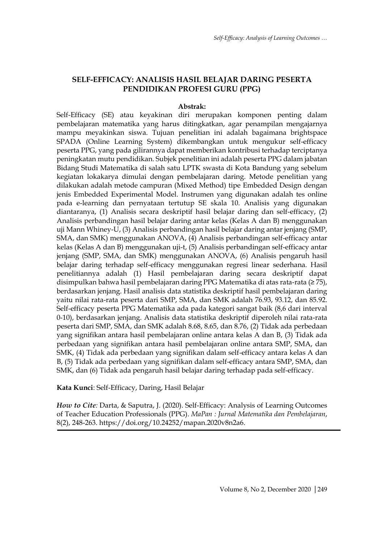# **SELF-EFFICACY: ANALISIS HASIL BELAJAR DARING PESERTA PENDIDIKAN PROFESI GURU (PPG)**

#### **Abstrak:**

Self-Efficacy (SE) atau keyakinan diri merupakan komponen penting dalam pembelajaran matematika yang harus ditingkatkan, agar penampilan mengajarnya mampu meyakinkan siswa. Tujuan penelitian ini adalah bagaimana brightspace SPADA (Online Learning System) dikembangkan untuk mengukur self-efficacy peserta PPG, yang pada gilirannya dapat memberikan kontribusi terhadap terciptanya peningkatan mutu pendidikan. Subjek penelitian ini adalah peserta PPG dalam jabatan Bidang Studi Matematika di salah satu LPTK swasta di Kota Bandung yang sebelum kegiatan lokakarya dimulai dengan pembelajaran daring. Metode penelitian yang dilakukan adalah metode campuran (Mixed Method) tipe Embedded Design dengan jenis Embedded Experimental Model. Instrumen yang digunakan adalah tes online pada e-learning dan pernyataan tertutup SE skala 10. Analisis yang digunakan diantaranya, (1) Analisis secara deskriptif hasil belajar daring dan self-efficacy, (2) Analisis perbandingan hasil belajar daring antar kelas (Kelas A dan B) menggunakan uji Mann Whiney-U, (3) Analisis perbandingan hasil belajar daring antar jenjang (SMP, SMA, dan SMK) menggunakan ANOVA, (4) Analisis perbandingan self-efficacy antar kelas (Kelas A dan B) menggunakan uji-t, (5) Analisis perbandingan self-efficacy antar jenjang (SMP, SMA, dan SMK) menggunakan ANOVA, (6) Analisis pengaruh hasil belajar daring terhadap self-efficacy menggunakan regresi linear sederhana. Hasil penelitiannya adalah (1) Hasil pembelajaran daring secara deskriptif dapat disimpulkan bahwa hasil pembelajaran daring PPG Matematika di atas rata-rata (≥ 75), berdasarkan jenjang. Hasil analisis data statistika deskriptif hasil pembelajaran daring yaitu nilai rata-rata peserta dari SMP, SMA, dan SMK adalah 76.93, 93.12, dan 85.92. Self-efficacy peserta PPG Matematika ada pada kategori sangat baik (8,6 dari interval 0-10), berdasarkan jenjang. Analisis data statistika deskriptif diperoleh nilai rata-rata peserta dari SMP, SMA, dan SMK adalah 8.68, 8.65, dan 8.76, (2) Tidak ada perbedaan yang signifikan antara hasil pembelajaran online antara kelas A dan B, (3) Tidak ada perbedaan yang signifikan antara hasil pembelajaran online antara SMP, SMA, dan SMK, (4) Tidak ada perbedaan yang signifikan dalam self-efficacy antara kelas A dan B, (5) Tidak ada perbedaan yang signifikan dalam self-efficacy antara SMP, SMA, dan SMK, dan (6) Tidak ada pengaruh hasil belajar daring terhadap pada self-efficacy.

**Kata Kunci**: Self-Efficacy, Daring, Hasil Belajar

*How to Cite:* Darta, & Saputra, J. (2020). Self-Efficacy: Analysis of Learning Outcomes of Teacher Education Professionals (PPG). *MaPan : Jurnal Matematika dan Pembelajaran*, 8(2), 248-263. https://doi.org/10.24252/mapan.2020v8n2a6.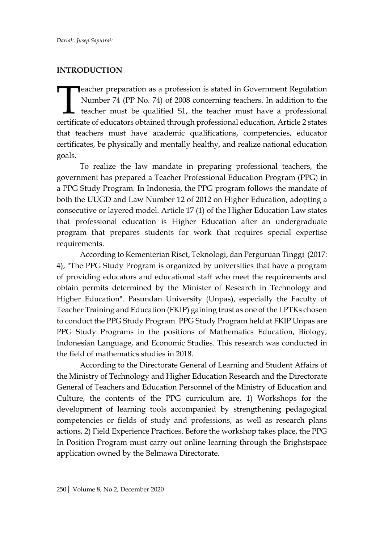#### **INTRODUCTION**

eacher preparation as a profession is stated in Government Regulation Number 74 (PP No. 74) of 2008 concerning teachers. In addition to the teacher must be qualified S1, the teacher must have a professional certificate of educators obtained through professional education. Article 2 states that teachers must have academic qualifications, competencies, educator certificates, be physically and mentally healthy, and realize national education goals. **T** 

To realize the law mandate in preparing professional teachers, the government has prepared a Teacher Professional Education Program (PPG) in a PPG Study Program. In Indonesia, the PPG program follows the mandate of both the UUGD and Law Number 12 of 2012 on Higher Education, adopting a consecutive or layered model. Article 17 (1) of the Higher Education Law states that professional education is Higher Education after an undergraduate program that prepares students for work that requires special expertise requirements.

According to Kementerian Riset, Teknologi, dan Perguruan Tinggi (2017: 4), "The PPG Study Program is organized by universities that have a program of providing educators and educational staff who meet the requirements and obtain permits determined by the Minister of Research in Technology and Higher Education". Pasundan University (Unpas), especially the Faculty of Teacher Training and Education (FKIP) gaining trust as one of the LPTKs chosen to conduct the PPG Study Program. PPG Study Program held at FKIP Unpas are PPG Study Programs in the positions of Mathematics Education, Biology, Indonesian Language, and Economic Studies. This research was conducted in the field of mathematics studies in 2018.

According to the Directorate General of Learning and Student Affairs of the Ministry of Technology and Higher Education Research and the Directorate General of Teachers and Education Personnel of the Ministry of Education and Culture, the contents of the PPG curriculum are, 1) Workshops for the development of learning tools accompanied by strengthening pedagogical competencies or fields of study and professions, as well as research plans actions, 2) Field Experience Practices. Before the workshop takes place, the PPG In Position Program must carry out online learning through the Brighstspace application owned by the Belmawa Directorate.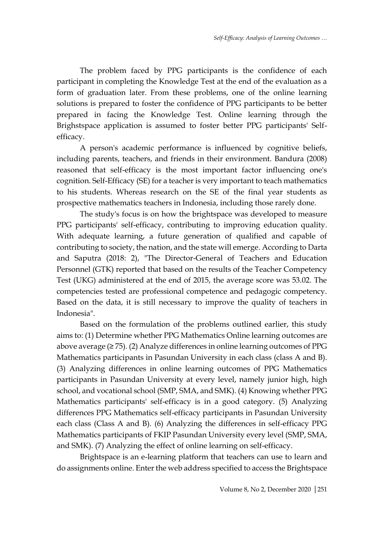The problem faced by PPG participants is the confidence of each participant in completing the Knowledge Test at the end of the evaluation as a form of graduation later. From these problems, one of the online learning solutions is prepared to foster the confidence of PPG participants to be better prepared in facing the Knowledge Test. Online learning through the Brighstspace application is assumed to foster better PPG participants' Selfefficacy.

A person's academic performance is influenced by cognitive beliefs, including parents, teachers, and friends in their environment. Bandura (2008) reasoned that self-efficacy is the most important factor influencing one's cognition. Self-Efficacy (SE) for a teacher is very important to teach mathematics to his students. Whereas research on the SE of the final year students as prospective mathematics teachers in Indonesia, including those rarely done.

The study's focus is on how the brightspace was developed to measure PPG participants' self-efficacy, contributing to improving education quality. With adequate learning, a future generation of qualified and capable of contributing to society, the nation, and the state will emerge. According to Darta and Saputra (2018: 2), "The Director-General of Teachers and Education Personnel (GTK) reported that based on the results of the Teacher Competency Test (UKG) administered at the end of 2015, the average score was 53.02. The competencies tested are professional competence and pedagogic competency. Based on the data, it is still necessary to improve the quality of teachers in Indonesia".

Based on the formulation of the problems outlined earlier, this study aims to: (1) Determine whether PPG Mathematics Online learning outcomes are above average (≥ 75). (2) Analyze differences in online learning outcomes of PPG Mathematics participants in Pasundan University in each class (class A and B). (3) Analyzing differences in online learning outcomes of PPG Mathematics participants in Pasundan University at every level, namely junior high, high school, and vocational school (SMP, SMA, and SMK). (4) Knowing whether PPG Mathematics participants' self-efficacy is in a good category. (5) Analyzing differences PPG Mathematics self-efficacy participants in Pasundan University each class (Class A and B). (6) Analyzing the differences in self-efficacy PPG Mathematics participants of FKIP Pasundan University every level (SMP, SMA, and SMK). (7) Analyzing the effect of online learning on self-efficacy.

Brightspace is an e-learning platform that teachers can use to learn and do assignments online. Enter the web address specified to access the Brightspace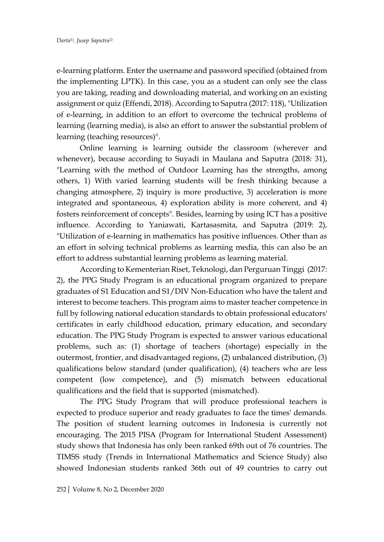e-learning platform. Enter the username and password specified (obtained from the implementing LPTK). In this case, you as a student can only see the class you are taking, reading and downloading material, and working on an existing assignment or quiz (Effendi, 2018). According to Saputra (2017: 118), "Utilization of e-learning, in addition to an effort to overcome the technical problems of learning (learning media), is also an effort to answer the substantial problem of learning (teaching resources)".

Online learning is learning outside the classroom (wherever and whenever), because according to Suyadi in Maulana and Saputra (2018: 31), "Learning with the method of Outdoor Learning has the strengths, among others, 1) With varied learning students will be fresh thinking because a changing atmosphere, 2) inquiry is more productive, 3) acceleration is more integrated and spontaneous, 4) exploration ability is more coherent, and 4) fosters reinforcement of concepts". Besides, learning by using ICT has a positive influence. According to Yaniawati, Kartasasmita, and Saputra (2019: 2), "Utilization of e-learning in mathematics has positive influences. Other than as an effort in solving technical problems as learning media, this can also be an effort to address substantial learning problems as learning material.

According to Kementerian Riset, Teknologi, dan Perguruan Tinggi (2017: 2), the PPG Study Program is an educational program organized to prepare graduates of S1 Education and S1/DIV Non-Education who have the talent and interest to become teachers. This program aims to master teacher competence in full by following national education standards to obtain professional educators' certificates in early childhood education, primary education, and secondary education. The PPG Study Program is expected to answer various educational problems, such as: (1) shortage of teachers (shortage) especially in the outermost, frontier, and disadvantaged regions, (2) unbalanced distribution, (3) qualifications below standard (under qualification), (4) teachers who are less competent (low competence), and (5) mismatch between educational qualifications and the field that is supported (mismatched).

The PPG Study Program that will produce professional teachers is expected to produce superior and ready graduates to face the times' demands. The position of student learning outcomes in Indonesia is currently not encouraging. The 2015 PISA (Program for International Student Assessment) study shows that Indonesia has only been ranked 69th out of 76 countries. The TIMSS study (Trends in International Mathematics and Science Study) also showed Indonesian students ranked 36th out of 49 countries to carry out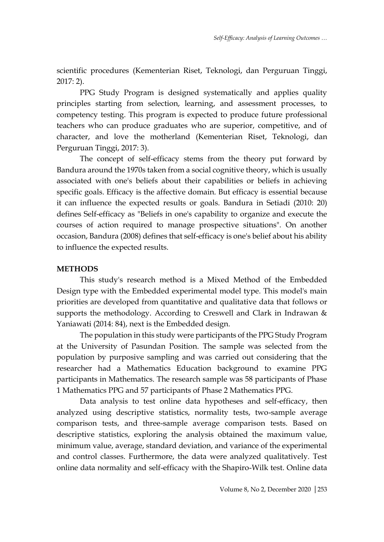scientific procedures (Kementerian Riset, Teknologi, dan Perguruan Tinggi, 2017: 2).

PPG Study Program is designed systematically and applies quality principles starting from selection, learning, and assessment processes, to competency testing. This program is expected to produce future professional teachers who can produce graduates who are superior, competitive, and of character, and love the motherland (Kementerian Riset, Teknologi, dan Perguruan Tinggi, 2017: 3).

The concept of self-efficacy stems from the theory put forward by Bandura around the 1970s taken from a social cognitive theory, which is usually associated with one's beliefs about their capabilities or beliefs in achieving specific goals. Efficacy is the affective domain. But efficacy is essential because it can influence the expected results or goals. Bandura in Setiadi (2010: 20) defines Self-efficacy as "Beliefs in one's capability to organize and execute the courses of action required to manage prospective situations". On another occasion, Bandura (2008) defines that self-efficacy is one's belief about his ability to influence the expected results.

# **METHODS**

This study's research method is a Mixed Method of the Embedded Design type with the Embedded experimental model type. This model's main priorities are developed from quantitative and qualitative data that follows or supports the methodology. According to Creswell and Clark in Indrawan & Yaniawati (2014: 84), next is the Embedded design.

The population in this study were participants of the PPG Study Program at the University of Pasundan Position. The sample was selected from the population by purposive sampling and was carried out considering that the researcher had a Mathematics Education background to examine PPG participants in Mathematics. The research sample was 58 participants of Phase 1 Mathematics PPG and 57 participants of Phase 2 Mathematics PPG.

Data analysis to test online data hypotheses and self-efficacy, then analyzed using descriptive statistics, normality tests, two-sample average comparison tests, and three-sample average comparison tests. Based on descriptive statistics, exploring the analysis obtained the maximum value, minimum value, average, standard deviation, and variance of the experimental and control classes. Furthermore, the data were analyzed qualitatively. Test online data normality and self-efficacy with the Shapiro-Wilk test. Online data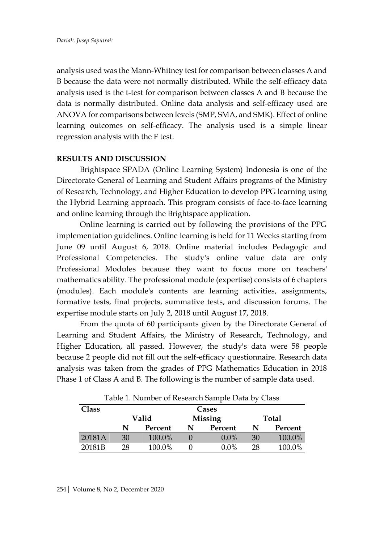analysis used was the Mann-Whitney test for comparison between classes A and B because the data were not normally distributed. While the self-efficacy data analysis used is the t-test for comparison between classes A and B because the data is normally distributed. Online data analysis and self-efficacy used are ANOVA for comparisons between levels (SMP, SMA, and SMK). Effect of online learning outcomes on self-efficacy. The analysis used is a simple linear regression analysis with the F test.

## **RESULTS AND DISCUSSION**

Brightspace SPADA (Online Learning System) Indonesia is one of the Directorate General of Learning and Student Affairs programs of the Ministry of Research, Technology, and Higher Education to develop PPG learning using the Hybrid Learning approach. This program consists of face-to-face learning and online learning through the Brightspace application.

Online learning is carried out by following the provisions of the PPG implementation guidelines. Online learning is held for 11 Weeks starting from June 09 until August 6, 2018. Online material includes Pedagogic and Professional Competencies. The study's online value data are only Professional Modules because they want to focus more on teachers' mathematics ability. The professional module (expertise) consists of 6 chapters (modules). Each module's contents are learning activities, assignments, formative tests, final projects, summative tests, and discussion forums. The expertise module starts on July 2, 2018 until August 17, 2018.

From the quota of 60 participants given by the Directorate General of Learning and Student Affairs, the Ministry of Research, Technology, and Higher Education, all passed. However, the study's data were 58 people because 2 people did not fill out the self-efficacy questionnaire. Research data analysis was taken from the grades of PPG Mathematics Education in 2018 Phase 1 of Class A and B. The following is the number of sample data used.

| Table 1. Number of Research Sample Data by Class |       |         |              |         |    |         |  |  |  |
|--------------------------------------------------|-------|---------|--------------|---------|----|---------|--|--|--|
| Class                                            | Cases |         |              |         |    |         |  |  |  |
|                                                  |       | Valid   | <b>Total</b> |         |    |         |  |  |  |
|                                                  | N     | Percent | N            | Percent | N  | Percent |  |  |  |
| 20181A                                           | 30    | 100.0%  |              | $0.0\%$ | 30 | 100.0%  |  |  |  |
| 20181B                                           | 28    | 100.0%  |              | $0.0\%$ | 28 | 100.0%  |  |  |  |

Table 1. Number of Research Sample Data by Class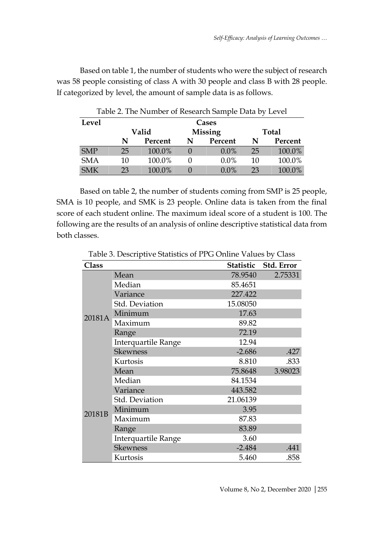Based on table 1, the number of students who were the subject of research was 58 people consisting of class A with 30 people and class B with 28 people. If categorized by level, the amount of sample data is as follows.

| Table 2. The Number of Research Sample Data by Level |    |                         |   |         |              |         |  |  |  |  |
|------------------------------------------------------|----|-------------------------|---|---------|--------------|---------|--|--|--|--|
| Level                                                |    | Cases                   |   |         |              |         |  |  |  |  |
|                                                      |    | <b>Missing</b><br>Valid |   |         | <b>Total</b> |         |  |  |  |  |
|                                                      | N  | Percent                 | N | Percent | N            | Percent |  |  |  |  |
| <b>SMP</b>                                           | 25 | 100.0%                  |   | $0.0\%$ | 25           | 100.0%  |  |  |  |  |
| <b>SMA</b>                                           | 10 | 100.0%                  |   | $0.0\%$ | 10           | 100.0%  |  |  |  |  |
| <b>SMK</b>                                           | 23 | 100.0%                  |   | $0.0\%$ | 23           | 100.0%  |  |  |  |  |

Based on table 2, the number of students coming from SMP is 25 people, SMA is 10 people, and SMK is 23 people. Online data is taken from the final score of each student online. The maximum ideal score of a student is 100. The following are the results of an analysis of online descriptive statistical data from both classes.

| <b>Class</b> |                     |          | Statistic Std. Error |
|--------------|---------------------|----------|----------------------|
|              | Mean                | 78.9540  | 2.75331              |
|              | Median              | 85.4651  |                      |
|              | Variance            | 227.422  |                      |
|              | Std. Deviation      | 15.08050 |                      |
| 20181A       | Minimum             | 17.63    |                      |
|              | Maximum             | 89.82    |                      |
|              | Range               | 72.19    |                      |
|              | Interquartile Range | 12.94    |                      |
|              | <b>Skewness</b>     | $-2.686$ | .427                 |
|              | Kurtosis            | 8.810    | .833                 |
|              | Mean                | 75.8648  | 3.98023              |
|              | Median              | 84.1534  |                      |
|              | Variance            | 443.582  |                      |
|              | Std. Deviation      | 21.06139 |                      |
| 20181B       | Minimum             | 3.95     |                      |
|              | Maximum             | 87.83    |                      |
|              | Range               | 83.89    |                      |
|              | Interquartile Range | 3.60     |                      |
|              | <b>Skewness</b>     | $-2.484$ | .441                 |
|              | Kurtosis            | 5.460    | .858                 |

Table 3. Descriptive Statistics of PPG Online Values by Class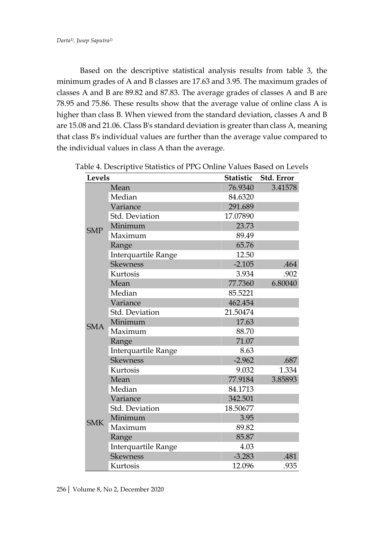Based on the descriptive statistical analysis results from table 3, the minimum grades of A and B classes are 17.63 and 3.95. The maximum grades of classes A and B are 89.82 and 87.83. The average grades of classes A and B are 78.95 and 75.86. These results show that the average value of online class A is higher than class B. When viewed from the standard deviation, classes A and B are 15.08 and 21.06. Class B's standard deviation is greater than class A, meaning that class B's individual values are further than the average value compared to the individual values in class A than the average.

| <b>Levels</b> |                            | Statistic | Std. Error |
|---------------|----------------------------|-----------|------------|
|               | Mean                       | 76.9340   | 3.41578    |
|               | Median                     | 84.6320   |            |
| <b>SMP</b>    | Variance                   | 291.689   |            |
|               | Std. Deviation             | 17.07890  |            |
|               | Minimum                    | 23.73     |            |
|               | Maximum                    | 89.49     |            |
|               | Range                      | 65.76     |            |
|               | <b>Interquartile Range</b> | 12.50     |            |
|               | <b>Skewness</b>            | $-2.105$  | .464       |
|               | Kurtosis                   | 3.934     | .902       |
|               | Mean                       | 77.7360   | 6.80040    |
| <b>SMA</b>    | Median                     | 85.5221   |            |
|               | Variance                   | 462.454   |            |
|               | Std. Deviation             | 21.50474  |            |
|               | Minimum                    | 17.63     |            |
|               | Maximum                    | 88.70     |            |
|               | Range                      | 71.07     |            |
|               | <b>Interquartile Range</b> | 8.63      |            |
|               | <b>Skewness</b>            | $-2.962$  | .687       |
|               | Kurtosis                   | 9.032     | 1.334      |
|               | Mean                       | 77.9184   | 3.85893    |
|               | Median                     | 84.1713   |            |
|               | Variance                   | 342.501   |            |
|               | Std. Deviation             | 18.50677  |            |
| <b>SMK</b>    | Minimum                    | 3.95      |            |
|               | Maximum                    | 89.82     |            |
|               | Range                      | 85.87     |            |
|               | Interquartile Range        | 4.03      |            |
|               | <b>Skewness</b>            | $-3.283$  | .481       |
|               | Kurtosis                   | 12.096    | .935       |

Table 4. Descriptive Statistics of PPG Online Values Based on Levels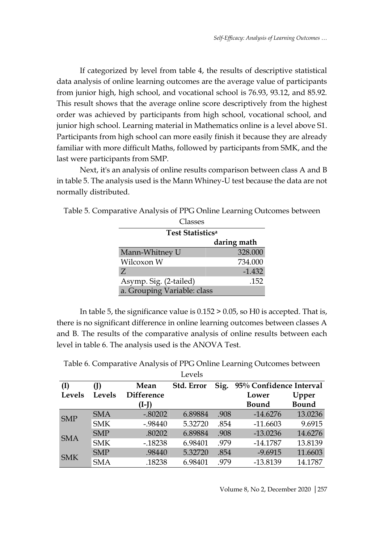If categorized by level from table 4, the results of descriptive statistical data analysis of online learning outcomes are the average value of participants from junior high, high school, and vocational school is 76.93, 93.12, and 85.92. This result shows that the average online score descriptively from the highest order was achieved by participants from high school, vocational school, and junior high school. Learning material in Mathematics online is a level above S1. Participants from high school can more easily finish it because they are already familiar with more difficult Maths, followed by participants from SMK, and the last were participants from SMP.

Next, it's an analysis of online results comparison between class A and B in table 5. The analysis used is the Mann Whiney-U test because the data are not normally distributed.

| Table 5. Comparative Analysis of PPG Online Learning Outcomes between |  |  |  |
|-----------------------------------------------------------------------|--|--|--|
|                                                                       |  |  |  |

| Classes                      |             |  |  |  |  |
|------------------------------|-------------|--|--|--|--|
| Test Statistics <sup>a</sup> |             |  |  |  |  |
|                              | daring math |  |  |  |  |
| Mann-Whitney U               | 328.000     |  |  |  |  |
| Wilcoxon W                   | 734.000     |  |  |  |  |
| Z                            | $-1.432$    |  |  |  |  |
| Asymp. Sig. (2-tailed)       | .152        |  |  |  |  |
| a. Grouping Variable: class  |             |  |  |  |  |

In table 5, the significance value is 0.152 > 0.05, so H0 is accepted. That is, there is no significant difference in online learning outcomes between classes A and B. The results of the comparative analysis of online results between each level in table 6. The analysis used is the ANOVA Test.

Table 6. Comparative Analysis of PPG Online Learning Outcomes between  $T = 1$ 

|            |            |                   | Leveis     |      |                         |              |
|------------|------------|-------------------|------------|------|-------------------------|--------------|
| (I)        |            | Mean              | Std. Error | Sig. | 95% Confidence Interval |              |
| Levels     | Levels     | <b>Difference</b> |            |      | Lower                   | Upper        |
|            |            | $(I-I)$           |            |      | <b>Bound</b>            | <b>Bound</b> |
| <b>SMP</b> | <b>SMA</b> | $-.80202$         | 6.89884    | .908 | $-14.6276$              | 13.0236      |
|            | <b>SMK</b> | $-0.98440$        | 5.32720    | .854 | $-11.6603$              | 9.6915       |
| <b>SMA</b> | <b>SMP</b> | .80202            | 6.89884    | .908 | $-13.0236$              | 14.6276      |
|            | <b>SMK</b> | $-0.18238$        | 6.98401    | .979 | $-14.1787$              | 13.8139      |
| <b>SMK</b> | <b>SMP</b> | .98440            | 5.32720    | .854 | $-9.6915$               | 11.6603      |
|            | <b>SMA</b> | .18238            | 6.98401    | .979 | $-13.8139$              | 14.1787      |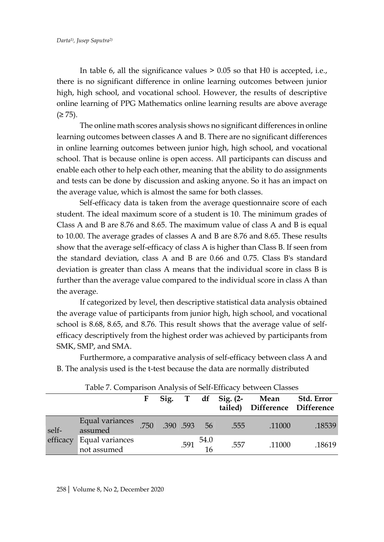In table 6, all the significance values > 0.05 so that H0 is accepted, i.e., there is no significant difference in online learning outcomes between junior high, high school, and vocational school. However, the results of descriptive online learning of PPG Mathematics online learning results are above average  $(≥ 75)$ .

The online math scores analysis shows no significant differences in online learning outcomes between classes A and B. There are no significant differences in online learning outcomes between junior high, high school, and vocational school. That is because online is open access. All participants can discuss and enable each other to help each other, meaning that the ability to do assignments and tests can be done by discussion and asking anyone. So it has an impact on the average value, which is almost the same for both classes.

Self-efficacy data is taken from the average questionnaire score of each student. The ideal maximum score of a student is 10. The minimum grades of Class A and B are 8.76 and 8.65. The maximum value of class A and B is equal to 10.00. The average grades of classes A and B are 8.76 and 8.65. These results show that the average self-efficacy of class A is higher than Class B. If seen from the standard deviation, class A and B are 0.66 and 0.75. Class B's standard deviation is greater than class A means that the individual score in class B is further than the average value compared to the individual score in class A than the average.

If categorized by level, then descriptive statistical data analysis obtained the average value of participants from junior high, high school, and vocational school is 8.68, 8.65, and 8.76. This result shows that the average value of selfefficacy descriptively from the highest order was achieved by participants from SMK, SMP, and SMA.

Furthermore, a comparative analysis of self-efficacy between class A and B. The analysis used is the t-test because the data are normally distributed

| Tubic 7. Companioni i manyolo of och Emicacy betti chi Chapoco |                                |          |             |  |                                                |                                 |                               |                   |
|----------------------------------------------------------------|--------------------------------|----------|-------------|--|------------------------------------------------|---------------------------------|-------------------------------|-------------------|
|                                                                |                                | $\bf{F}$ |             |  |                                                | Sig. T df Sig. $(2-$<br>tailed) | Mean<br>Difference Difference | <b>Std. Error</b> |
| self-<br>efficacy                                              | Equal variances<br>assumed     | .750     | .390.593 56 |  |                                                | .555                            | .11000                        | .18539            |
|                                                                | Equal variances<br>not assumed |          |             |  | $.591 \begin{array}{c} 54.0 \\ 16 \end{array}$ | .557                            | .11000                        | .18619            |

Table 7. Comparison Analysis of Self-Efficacy between Classes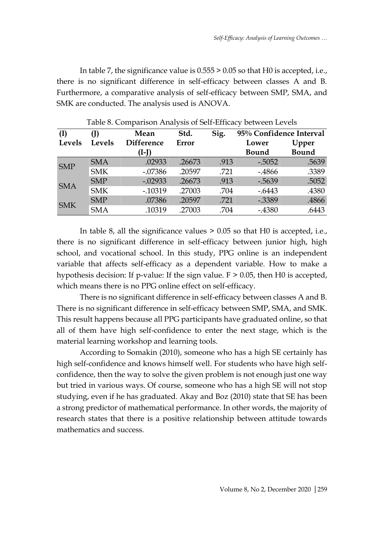In table 7, the significance value is 0.555 > 0.05 so that H0 is accepted, i.e., there is no significant difference in self-efficacy between classes A and B. Furthermore, a comparative analysis of self-efficacy between SMP, SMA, and SMK are conducted. The analysis used is ANOVA.

|            | Sig.<br>Std.<br>Mean |                   |        | 95% Confidence Interval |              |              |
|------------|----------------------|-------------------|--------|-------------------------|--------------|--------------|
| Levels     | <b>Levels</b>        | <b>Difference</b> | Error  |                         | Lower        | Upper        |
|            |                      | (I-J)             |        |                         | <b>Bound</b> | <b>Bound</b> |
| <b>SMP</b> | <b>SMA</b>           | .02933            | .26673 | .913                    | $-.5052$     | .5639        |
|            | <b>SMK</b>           | $-.07386$         | .20597 | .721                    | $-4866$      | .3389        |
| <b>SMA</b> | <b>SMP</b>           | $-.02933$         | .26673 | .913                    | $-0.5639$    | .5052        |
|            | <b>SMK</b>           | $-0.10319$        | .27003 | .704                    | $-0.6443$    | .4380        |
| <b>SMK</b> | <b>SMP</b>           | .07386            | .20597 | .721                    | $-0.3389$    | .4866        |
|            | <b>SMA</b>           | .10319            | .27003 | .704                    | $-4380$      | .6443        |

Table 8. Comparison Analysis of Self-Efficacy between Levels

In table 8, all the significance values > 0.05 so that H0 is accepted, i.e., there is no significant difference in self-efficacy between junior high, high school, and vocational school. In this study, PPG online is an independent variable that affects self-efficacy as a dependent variable. How to make a hypothesis decision: If p-value: If the sign value. F > 0.05, then H0 is accepted, which means there is no PPG online effect on self-efficacy.

There is no significant difference in self-efficacy between classes A and B. There is no significant difference in self-efficacy between SMP, SMA, and SMK. This result happens because all PPG participants have graduated online, so that all of them have high self-confidence to enter the next stage, which is the material learning workshop and learning tools.

According to Somakin (2010), someone who has a high SE certainly has high self-confidence and knows himself well. For students who have high selfconfidence, then the way to solve the given problem is not enough just one way but tried in various ways. Of course, someone who has a high SE will not stop studying, even if he has graduated. Akay and Boz (2010) state that SE has been a strong predictor of mathematical performance. In other words, the majority of research states that there is a positive relationship between attitude towards mathematics and success.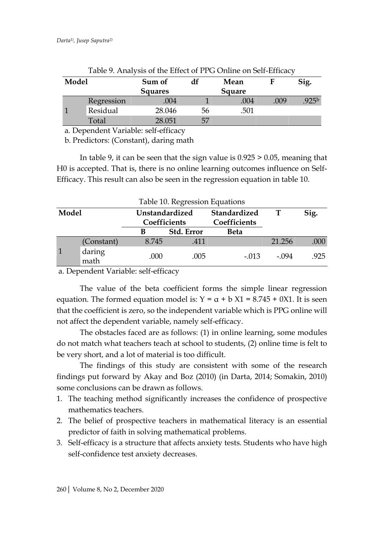| Model |            | df<br>Sum of<br>Mean<br><b>Squares</b><br>Square |    |      |      | Sig.              |
|-------|------------|--------------------------------------------------|----|------|------|-------------------|
|       | Regression | .004                                             |    | .004 | .009 | .925 <sup>b</sup> |
|       | Residual   | 28.046                                           | 56 | .501 |      |                   |
|       | Total      | 28.051                                           | 57 |      |      |                   |

Table 9. Analysis of the Effect of PPG Online on Self-Efficacy

a. Dependent Variable: self-efficacy

b. Predictors: (Constant), daring math

In table 9, it can be seen that the sign value is 0.925 > 0.05, meaning that H0 is accepted. That is, there is no online learning outcomes influence on Self-Efficacy. This result can also be seen in the regression equation in table 10.

|       | Table 10. Regression Equations |                                |            |                              |        |      |  |  |  |
|-------|--------------------------------|--------------------------------|------------|------------------------------|--------|------|--|--|--|
| Model |                                | Unstandardized<br>Coefficients |            | Standardized<br>Coefficients |        | Sig. |  |  |  |
|       |                                |                                | Std. Error | <b>Beta</b>                  |        |      |  |  |  |
|       | (Constant)                     | 8.745                          | .411       |                              | 21.256 | .000 |  |  |  |
|       | daring<br>math                 | .000                           | .005       | $-.013$                      | - 094  | .925 |  |  |  |

a. Dependent Variable: self-efficacy

The value of the beta coefficient forms the simple linear regression equation. The formed equation model is:  $Y = \alpha + b X1 = 8.745 + 0X1$ . It is seen that the coefficient is zero, so the independent variable which is PPG online will not affect the dependent variable, namely self-efficacy.

The obstacles faced are as follows: (1) in online learning, some modules do not match what teachers teach at school to students, (2) online time is felt to be very short, and a lot of material is too difficult.

The findings of this study are consistent with some of the research findings put forward by Akay and Boz (2010) (in Darta, 2014; Somakin, 2010) some conclusions can be drawn as follows.

- 1. The teaching method significantly increases the confidence of prospective mathematics teachers.
- 2. The belief of prospective teachers in mathematical literacy is an essential predictor of faith in solving mathematical problems.
- 3. Self-efficacy is a structure that affects anxiety tests. Students who have high self-confidence test anxiety decreases.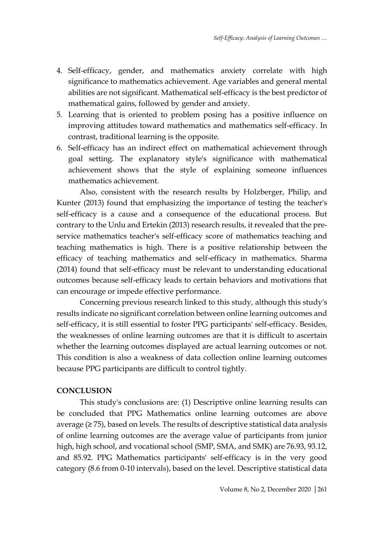- 4. Self-efficacy, gender, and mathematics anxiety correlate with high significance to mathematics achievement. Age variables and general mental abilities are not significant. Mathematical self-efficacy is the best predictor of mathematical gains, followed by gender and anxiety.
- 5. Learning that is oriented to problem posing has a positive influence on improving attitudes toward mathematics and mathematics self-efficacy. In contrast, traditional learning is the opposite.
- 6. Self-efficacy has an indirect effect on mathematical achievement through goal setting. The explanatory style's significance with mathematical achievement shows that the style of explaining someone influences mathematics achievement.

Also, consistent with the research results by Holzberger, Philip, and Kunter (2013) found that emphasizing the importance of testing the teacher's self-efficacy is a cause and a consequence of the educational process. But contrary to the Unlu and Ertekin (2013) research results, it revealed that the preservice mathematics teacher's self-efficacy score of mathematics teaching and teaching mathematics is high. There is a positive relationship between the efficacy of teaching mathematics and self-efficacy in mathematics. Sharma (2014) found that self-efficacy must be relevant to understanding educational outcomes because self-efficacy leads to certain behaviors and motivations that can encourage or impede effective performance.

Concerning previous research linked to this study, although this study's results indicate no significant correlation between online learning outcomes and self-efficacy, it is still essential to foster PPG participants' self-efficacy. Besides, the weaknesses of online learning outcomes are that it is difficult to ascertain whether the learning outcomes displayed are actual learning outcomes or not. This condition is also a weakness of data collection online learning outcomes because PPG participants are difficult to control tightly.

## **CONCLUSION**

This study's conclusions are: (1) Descriptive online learning results can be concluded that PPG Mathematics online learning outcomes are above average (≥ 75), based on levels. The results of descriptive statistical data analysis of online learning outcomes are the average value of participants from junior high, high school, and vocational school (SMP, SMA, and SMK) are 76.93, 93.12, and 85.92. PPG Mathematics participants' self-efficacy is in the very good category (8.6 from 0-10 intervals), based on the level. Descriptive statistical data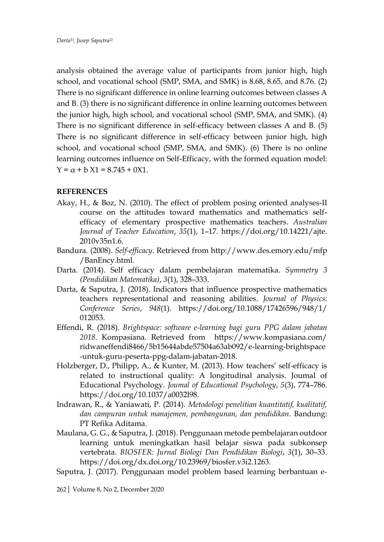analysis obtained the average value of participants from junior high, high school, and vocational school (SMP, SMA, and SMK) is 8.68, 8.65, and 8.76. (2) There is no significant difference in online learning outcomes between classes A and B. (3) there is no significant difference in online learning outcomes between the junior high, high school, and vocational school (SMP, SMA, and SMK). (4) There is no significant difference in self-efficacy between classes A and B. (5) There is no significant difference in self-efficacy between junior high, high school, and vocational school (SMP, SMA, and SMK). (6) There is no online learning outcomes influence on Self-Efficacy, with the formed equation model:  $Y = \alpha + b X1 = 8.745 + 0X1.$ 

## **REFERENCES**

- Akay, H., & Boz, N. (2010). The effect of problem posing oriented analyses-II course on the attitudes toward mathematics and mathematics selfefficacy of elementary prospective mathematics teachers. *Australian Journal of Teacher Education*, *35*(1), 1–17. https://doi.org/10.14221/ajte. 2010v35n1.6.
- Bandura. (2008). *Self-efficacy*. Retrieved from http://www.des.emory.edu/mfp /BanEncy.html.
- Darta. (2014). Self efficacy dalam pembelajaran matematika. *Symmetry 3 (Pendidikan Matematika)*, *3*(1), 328–333.
- Darta, & Saputra, J. (2018). Indicators that influence prospective mathematics teachers representational and reasoning abilities. *Journal of Physics: Conference Series*, *948*(1). https://doi.org/10.1088/17426596/948/1/ 012053.
- Effendi, R. (2018). *Brightspace: software e-learning bagi guru PPG dalam jabatan 2018*. Kompasiana. Retrieved from https://www.kompasiana.com/ ridwaneffendi8466/5b15644abde57504a63ab092/e-learning-brightspace -untuk-guru-peserta-ppg-dalam-jabatan-2018.
- Holzberger, D., Philipp, A., & Kunter, M. (2013). How teachers' self-efficacy is related to instructional quality: A longitudinal analysis. Joumal of Educational Psychology. *Joumal of Educational Psychology*, *5*(3), 774–786. https://doi.org/10.1037/a0032l98.
- Indrawan, R., & Yaniawati, P. (2014). *Metodologi penelitian kuantitatif, kualitatif, dan campuran untuk manajemen, pembangunan, dan pendidikan*. Bandung: PT Refika Aditama.
- Maulana, G. G., & Saputra, J. (2018). Penggunaan metode pembelajaran outdoor learning untuk meningkatkan hasil belajar siswa pada subkonsep vertebrata. *BIOSFER: Jurnal Biologi Dan Pendidikan Biologi*, *3*(1), 30–33. https://doi.org/dx.doi.org/10.23969/biosfer.v3i2.1263.
- Saputra, J. (2017). Penggunaan model problem based learning berbantuan e-

262| Volume 8, No 2, December 2020